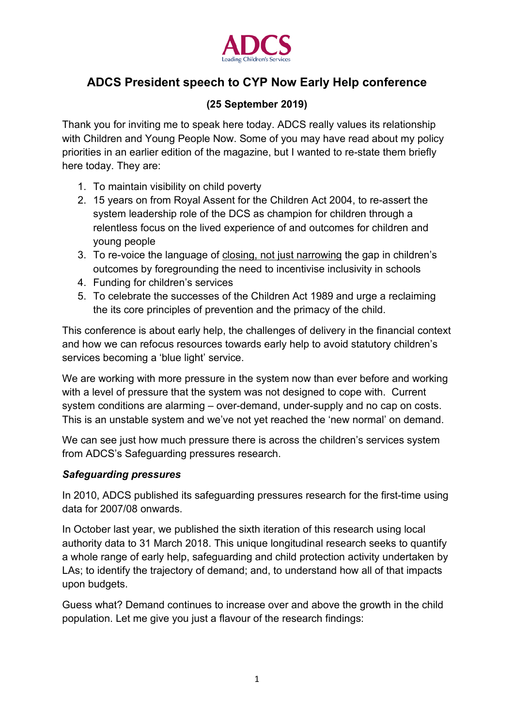

# **ADCS President speech to CYP Now Early Help conference**

### **(25 September 2019)**

Thank you for inviting me to speak here today. ADCS really values its relationship with Children and Young People Now. Some of you may have read about my policy priorities in an earlier edition of the magazine, but I wanted to re-state them briefly here today. They are:

- 1. To maintain visibility on child poverty
- 2. 15 years on from Royal Assent for the Children Act 2004, to re-assert the system leadership role of the DCS as champion for children through a relentless focus on the lived experience of and outcomes for children and young people
- 3. To re-voice the language of closing, not just narrowing the gap in children's outcomes by foregrounding the need to incentivise inclusivity in schools
- 4. Funding for children's services
- 5. To celebrate the successes of the Children Act 1989 and urge a reclaiming the its core principles of prevention and the primacy of the child.

This conference is about early help, the challenges of delivery in the financial context and how we can refocus resources towards early help to avoid statutory children's services becoming a 'blue light' service.

We are working with more pressure in the system now than ever before and working with a level of pressure that the system was not designed to cope with. Current system conditions are alarming – over-demand, under-supply and no cap on costs. This is an unstable system and we've not yet reached the 'new normal' on demand.

We can see just how much pressure there is across the children's services system from ADCS's Safeguarding pressures research.

#### *Safeguarding pressures*

In 2010, ADCS published its safeguarding pressures research for the first-time using data for 2007/08 onwards.

In October last year, we published the sixth iteration of this research using local authority data to 31 March 2018. This unique longitudinal research seeks to quantify a whole range of early help, safeguarding and child protection activity undertaken by LAs; to identify the trajectory of demand; and, to understand how all of that impacts upon budgets.

Guess what? Demand continues to increase over and above the growth in the child population. Let me give you just a flavour of the research findings: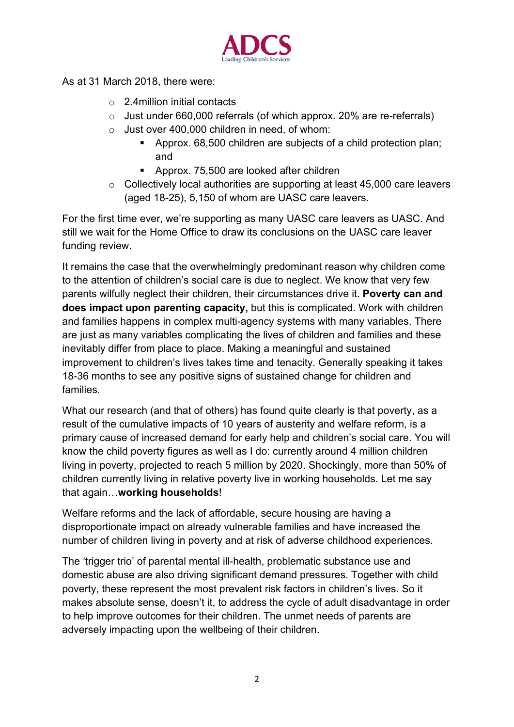

As at 31 March 2018, there were:

- $\circ$  2.4 million initial contacts
- o Just under 660,000 referrals (of which approx. 20% are re-referrals)
- $\circ$  Just over 400,000 children in need, of whom:
	- Approx. 68,500 children are subjects of a child protection plan; and
	- Approx. 75,500 are looked after children
- o Collectively local authorities are supporting at least 45,000 care leavers (aged 18-25), 5,150 of whom are UASC care leavers.

For the first time ever, we're supporting as many UASC care leavers as UASC. And still we wait for the Home Office to draw its conclusions on the UASC care leaver funding review.

It remains the case that the overwhelmingly predominant reason why children come to the attention of children's social care is due to neglect. We know that very few parents wilfully neglect their children, their circumstances drive it. **Poverty can and does impact upon parenting capacity,** but this is complicated. Work with children and families happens in complex multi-agency systems with many variables. There are just as many variables complicating the lives of children and families and these inevitably differ from place to place. Making a meaningful and sustained improvement to children's lives takes time and tenacity. Generally speaking it takes 18-36 months to see any positive signs of sustained change for children and families.

What our research (and that of others) has found quite clearly is that poverty, as a result of the cumulative impacts of 10 years of austerity and welfare reform, is a primary cause of increased demand for early help and children's social care. You will know the child poverty figures as well as I do: currently around 4 million children living in poverty, projected to reach 5 million by 2020. Shockingly, more than 50% of children currently living in relative poverty live in working households. Let me say that again…**working households**!

Welfare reforms and the lack of affordable, secure housing are having a disproportionate impact on already vulnerable families and have increased the number of children living in poverty and at risk of adverse childhood experiences.

The 'trigger trio' of parental mental ill-health, problematic substance use and domestic abuse are also driving significant demand pressures. Together with child poverty, these represent the most prevalent risk factors in children's lives. So it makes absolute sense, doesn't it, to address the cycle of adult disadvantage in order to help improve outcomes for their children. The unmet needs of parents are adversely impacting upon the wellbeing of their children.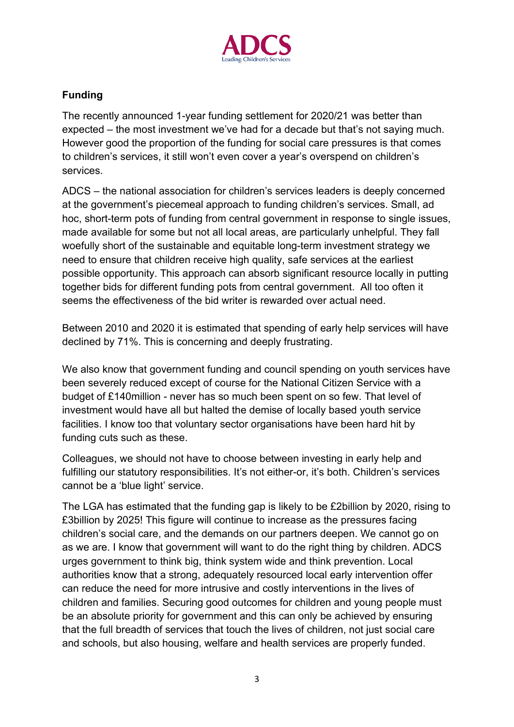

## **Funding**

The recently announced 1-year funding settlement for 2020/21 was better than expected – the most investment we've had for a decade but that's not saying much. However good the proportion of the funding for social care pressures is that comes to children's services, it still won't even cover a year's overspend on children's services.

ADCS – the national association for children's services leaders is deeply concerned at the government's piecemeal approach to funding children's services. Small, ad hoc, short-term pots of funding from central government in response to single issues, made available for some but not all local areas, are particularly unhelpful. They fall woefully short of the sustainable and equitable long-term investment strategy we need to ensure that children receive high quality, safe services at the earliest possible opportunity. This approach can absorb significant resource locally in putting together bids for different funding pots from central government. All too often it seems the effectiveness of the bid writer is rewarded over actual need.

Between 2010 and 2020 it is estimated that spending of early help services will have declined by 71%. This is concerning and deeply frustrating.

We also know that government funding and council spending on youth services have been severely reduced except of course for the National Citizen Service with a budget of £140million - never has so much been spent on so few. That level of investment would have all but halted the demise of locally based youth service facilities. I know too that voluntary sector organisations have been hard hit by funding cuts such as these.

Colleagues, we should not have to choose between investing in early help and fulfilling our statutory responsibilities. It's not either-or, it's both. Children's services cannot be a 'blue light' service.

The LGA has estimated that the funding gap is likely to be £2billion by 2020, rising to £3billion by 2025! This figure will continue to increase as the pressures facing children's social care, and the demands on our partners deepen. We cannot go on as we are. I know that government will want to do the right thing by children. ADCS urges government to think big, think system wide and think prevention. Local authorities know that a strong, adequately resourced local early intervention offer can reduce the need for more intrusive and costly interventions in the lives of children and families. Securing good outcomes for children and young people must be an absolute priority for government and this can only be achieved by ensuring that the full breadth of services that touch the lives of children, not just social care and schools, but also housing, welfare and health services are properly funded.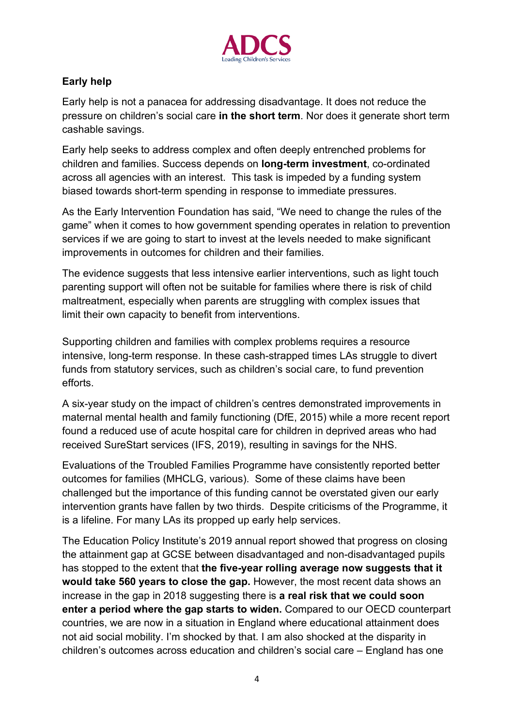

## **Early help**

Early help is not a panacea for addressing disadvantage. It does not reduce the pressure on children's social care **in the short term**. Nor does it generate short term cashable savings.

Early help seeks to address complex and often deeply entrenched problems for children and families. Success depends on **long-term investment**, co-ordinated across all agencies with an interest. This task is impeded by a funding system biased towards short-term spending in response to immediate pressures.

As the Early Intervention Foundation has said, "We need to change the rules of the game" when it comes to how government spending operates in relation to prevention services if we are going to start to invest at the levels needed to make significant improvements in outcomes for children and their families.

The evidence suggests that less intensive earlier interventions, such as light touch parenting support will often not be suitable for families where there is risk of child maltreatment, especially when parents are struggling with complex issues that limit their own capacity to benefit from interventions.

Supporting children and families with complex problems requires a resource intensive, long-term response. In these cash-strapped times LAs struggle to divert funds from statutory services, such as children's social care, to fund prevention efforts.

A six-year study on the impact of children's centres demonstrated improvements in maternal mental health and family functioning (DfE, 2015) while a more recent report found a reduced use of acute hospital care for children in deprived areas who had received SureStart services (IFS, 2019), resulting in savings for the NHS.

Evaluations of the Troubled Families Programme have consistently reported better outcomes for families (MHCLG, various). Some of these claims have been challenged but the importance of this funding cannot be overstated given our early intervention grants have fallen by two thirds. Despite criticisms of the Programme, it is a lifeline. For many LAs its propped up early help services.

The Education Policy Institute's 2019 annual report showed that progress on closing the attainment gap at GCSE between disadvantaged and non-disadvantaged pupils has stopped to the extent that **the five-year rolling average now suggests that it would take 560 years to close the gap.** However, the most recent data shows an increase in the gap in 2018 suggesting there is **a real risk that we could soon enter a period where the gap starts to widen.** Compared to our OECD counterpart countries, we are now in a situation in England where educational attainment does not aid social mobility. I'm shocked by that. I am also shocked at the disparity in children's outcomes across education and children's social care – England has one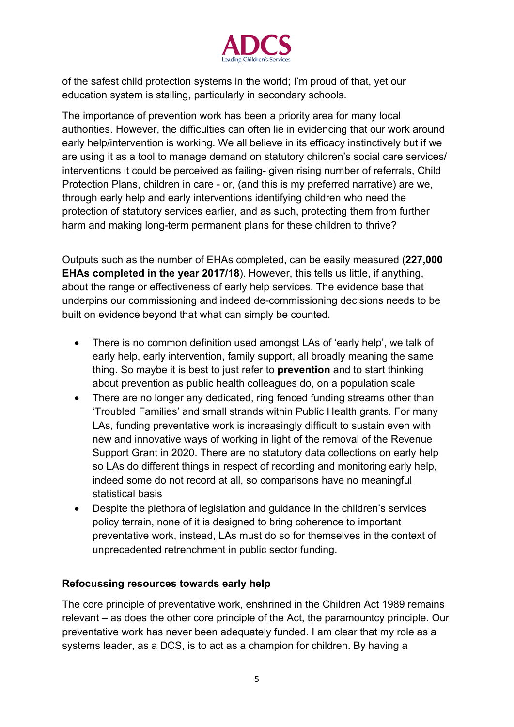

of the safest child protection systems in the world; I'm proud of that, yet our education system is stalling, particularly in secondary schools.

The importance of prevention work has been a priority area for many local authorities. However, the difficulties can often lie in evidencing that our work around early help/intervention is working. We all believe in its efficacy instinctively but if we are using it as a tool to manage demand on statutory children's social care services/ interventions it could be perceived as failing- given rising number of referrals, Child Protection Plans, children in care - or, (and this is my preferred narrative) are we, through early help and early interventions identifying children who need the protection of statutory services earlier, and as such, protecting them from further harm and making long-term permanent plans for these children to thrive?

Outputs such as the number of EHAs completed, can be easily measured (**227,000 EHAs completed in the year 2017/18**). However, this tells us little, if anything, about the range or effectiveness of early help services. The evidence base that underpins our commissioning and indeed de-commissioning decisions needs to be built on evidence beyond that what can simply be counted.

- There is no common definition used amongst LAs of 'early help', we talk of early help, early intervention, family support, all broadly meaning the same thing. So maybe it is best to just refer to **prevention** and to start thinking about prevention as public health colleagues do, on a population scale
- There are no longer any dedicated, ring fenced funding streams other than 'Troubled Families' and small strands within Public Health grants. For many LAs, funding preventative work is increasingly difficult to sustain even with new and innovative ways of working in light of the removal of the Revenue Support Grant in 2020. There are no statutory data collections on early help so LAs do different things in respect of recording and monitoring early help, indeed some do not record at all, so comparisons have no meaningful statistical basis
- Despite the plethora of legislation and guidance in the children's services policy terrain, none of it is designed to bring coherence to important preventative work, instead, LAs must do so for themselves in the context of unprecedented retrenchment in public sector funding.

#### **Refocussing resources towards early help**

The core principle of preventative work, enshrined in the Children Act 1989 remains relevant – as does the other core principle of the Act, the paramountcy principle. Our preventative work has never been adequately funded. I am clear that my role as a systems leader, as a DCS, is to act as a champion for children. By having a